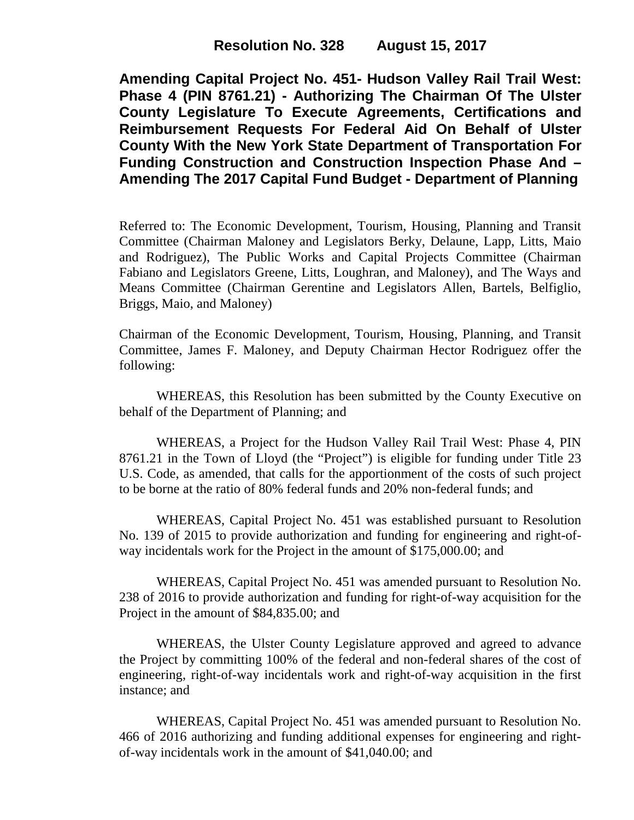**Amending Capital Project No. 451- Hudson Valley Rail Trail West: Phase 4 (PIN 8761.21) - Authorizing The Chairman Of The Ulster County Legislature To Execute Agreements, Certifications and Reimbursement Requests For Federal Aid On Behalf of Ulster County With the New York State Department of Transportation For Funding Construction and Construction Inspection Phase And – Amending The 2017 Capital Fund Budget - Department of Planning**

Referred to: The Economic Development, Tourism, Housing, Planning and Transit Committee (Chairman Maloney and Legislators Berky, Delaune, Lapp, Litts, Maio and Rodriguez), The Public Works and Capital Projects Committee (Chairman Fabiano and Legislators Greene, Litts, Loughran, and Maloney), and The Ways and Means Committee (Chairman Gerentine and Legislators Allen, Bartels, Belfiglio, Briggs, Maio, and Maloney)

Chairman of the Economic Development, Tourism, Housing, Planning, and Transit Committee, James F. Maloney, and Deputy Chairman Hector Rodriguez offer the following:

WHEREAS, this Resolution has been submitted by the County Executive on behalf of the Department of Planning; and

WHEREAS, a Project for the Hudson Valley Rail Trail West: Phase 4, PIN 8761.21 in the Town of Lloyd (the "Project") is eligible for funding under Title 23 U.S. Code, as amended, that calls for the apportionment of the costs of such project to be borne at the ratio of 80% federal funds and 20% non-federal funds; and

WHEREAS, Capital Project No. 451 was established pursuant to Resolution No. 139 of 2015 to provide authorization and funding for engineering and right-ofway incidentals work for the Project in the amount of \$175,000.00; and

WHEREAS, Capital Project No. 451 was amended pursuant to Resolution No. 238 of 2016 to provide authorization and funding for right-of-way acquisition for the Project in the amount of \$84,835.00; and

WHEREAS, the Ulster County Legislature approved and agreed to advance the Project by committing 100% of the federal and non-federal shares of the cost of engineering, right-of-way incidentals work and right-of-way acquisition in the first instance; and

WHEREAS, Capital Project No. 451 was amended pursuant to Resolution No. 466 of 2016 authorizing and funding additional expenses for engineering and rightof-way incidentals work in the amount of \$41,040.00; and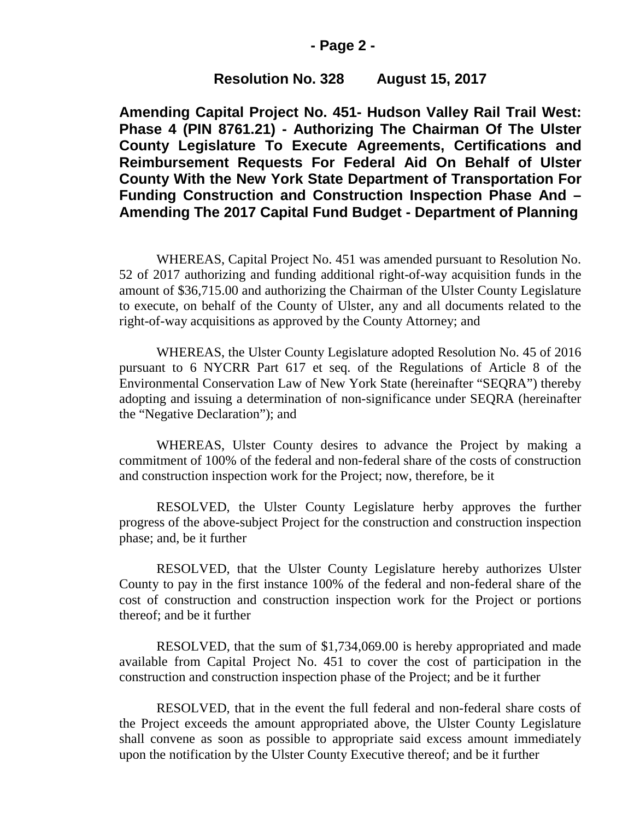### **- Page 2 -**

### **Resolution No. 328 August 15, 2017**

**Amending Capital Project No. 451- Hudson Valley Rail Trail West: Phase 4 (PIN 8761.21) - Authorizing The Chairman Of The Ulster County Legislature To Execute Agreements, Certifications and Reimbursement Requests For Federal Aid On Behalf of Ulster County With the New York State Department of Transportation For Funding Construction and Construction Inspection Phase And – Amending The 2017 Capital Fund Budget - Department of Planning**

WHEREAS, Capital Project No. 451 was amended pursuant to Resolution No. 52 of 2017 authorizing and funding additional right-of-way acquisition funds in the amount of \$36,715.00 and authorizing the Chairman of the Ulster County Legislature to execute, on behalf of the County of Ulster, any and all documents related to the right-of-way acquisitions as approved by the County Attorney; and

WHEREAS, the Ulster County Legislature adopted Resolution No. 45 of 2016 pursuant to 6 NYCRR Part 617 et seq. of the Regulations of Article 8 of the Environmental Conservation Law of New York State (hereinafter "SEQRA") thereby adopting and issuing a determination of non-significance under SEQRA (hereinafter the "Negative Declaration"); and

WHEREAS, Ulster County desires to advance the Project by making a commitment of 100% of the federal and non-federal share of the costs of construction and construction inspection work for the Project; now, therefore, be it

RESOLVED, the Ulster County Legislature herby approves the further progress of the above-subject Project for the construction and construction inspection phase; and, be it further

RESOLVED, that the Ulster County Legislature hereby authorizes Ulster County to pay in the first instance 100% of the federal and non-federal share of the cost of construction and construction inspection work for the Project or portions thereof; and be it further

RESOLVED, that the sum of \$1,734,069.00 is hereby appropriated and made available from Capital Project No. 451 to cover the cost of participation in the construction and construction inspection phase of the Project; and be it further

RESOLVED, that in the event the full federal and non-federal share costs of the Project exceeds the amount appropriated above, the Ulster County Legislature shall convene as soon as possible to appropriate said excess amount immediately upon the notification by the Ulster County Executive thereof; and be it further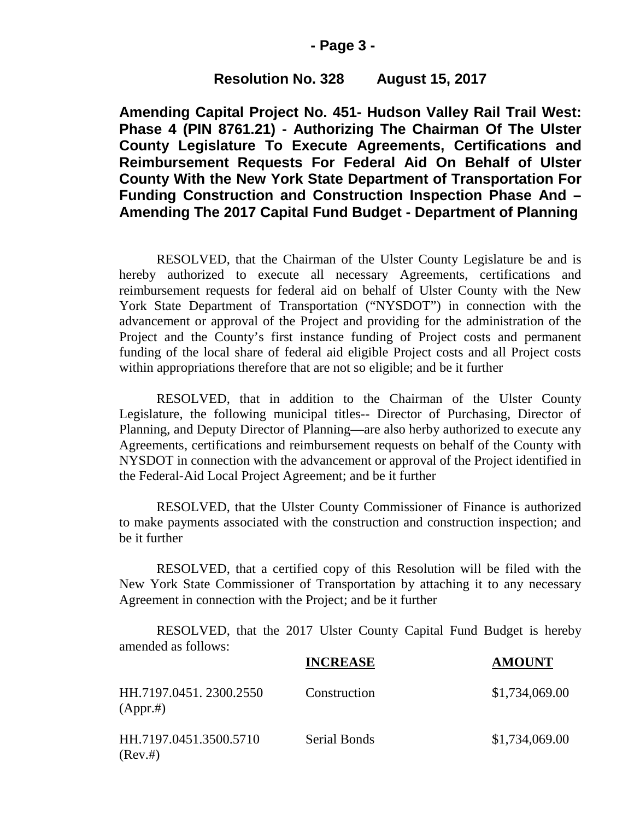### **- Page 3 -**

## **Resolution No. 328 August 15, 2017**

**Amending Capital Project No. 451- Hudson Valley Rail Trail West: Phase 4 (PIN 8761.21) - Authorizing The Chairman Of The Ulster County Legislature To Execute Agreements, Certifications and Reimbursement Requests For Federal Aid On Behalf of Ulster County With the New York State Department of Transportation For Funding Construction and Construction Inspection Phase And – Amending The 2017 Capital Fund Budget - Department of Planning**

RESOLVED, that the Chairman of the Ulster County Legislature be and is hereby authorized to execute all necessary Agreements, certifications and reimbursement requests for federal aid on behalf of Ulster County with the New York State Department of Transportation ("NYSDOT") in connection with the advancement or approval of the Project and providing for the administration of the Project and the County's first instance funding of Project costs and permanent funding of the local share of federal aid eligible Project costs and all Project costs within appropriations therefore that are not so eligible; and be it further

RESOLVED, that in addition to the Chairman of the Ulster County Legislature, the following municipal titles-- Director of Purchasing, Director of Planning, and Deputy Director of Planning—are also herby authorized to execute any Agreements, certifications and reimbursement requests on behalf of the County with NYSDOT in connection with the advancement or approval of the Project identified in the Federal-Aid Local Project Agreement; and be it further

RESOLVED, that the Ulster County Commissioner of Finance is authorized to make payments associated with the construction and construction inspection; and be it further

RESOLVED, that a certified copy of this Resolution will be filed with the New York State Commissioner of Transportation by attaching it to any necessary Agreement in connection with the Project; and be it further

RESOLVED, that the 2017 Ulster County Capital Fund Budget is hereby amended as follows:

|                                    | <b>INCREASE</b>     | <b>AMOUNT</b>  |
|------------------------------------|---------------------|----------------|
| HH.7197.0451.2300.2550<br>(Appr.#) | Construction        | \$1,734,069.00 |
| HH.7197.0451.3500.5710<br>(Rev.#)  | <b>Serial Bonds</b> | \$1,734,069.00 |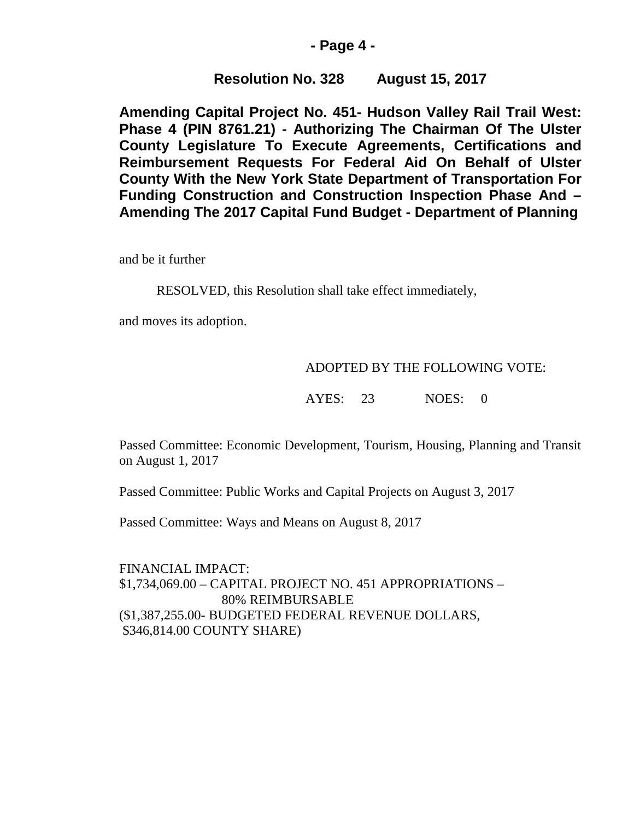## **- Page 4 -**

# **Resolution No. 328 August 15, 2017**

**Amending Capital Project No. 451- Hudson Valley Rail Trail West: Phase 4 (PIN 8761.21) - Authorizing The Chairman Of The Ulster County Legislature To Execute Agreements, Certifications and Reimbursement Requests For Federal Aid On Behalf of Ulster County With the New York State Department of Transportation For Funding Construction and Construction Inspection Phase And – Amending The 2017 Capital Fund Budget - Department of Planning**

and be it further

RESOLVED, this Resolution shall take effect immediately,

and moves its adoption.

### ADOPTED BY THE FOLLOWING VOTE:

AYES: 23 NOES: 0

Passed Committee: Economic Development, Tourism, Housing, Planning and Transit on August 1, 2017

Passed Committee: Public Works and Capital Projects on August 3, 2017

Passed Committee: Ways and Means on August 8, 2017

FINANCIAL IMPACT: \$1,734,069.00 – CAPITAL PROJECT NO. 451 APPROPRIATIONS – 80% REIMBURSABLE (\$1,387,255.00- BUDGETED FEDERAL REVENUE DOLLARS, \$346,814.00 COUNTY SHARE)